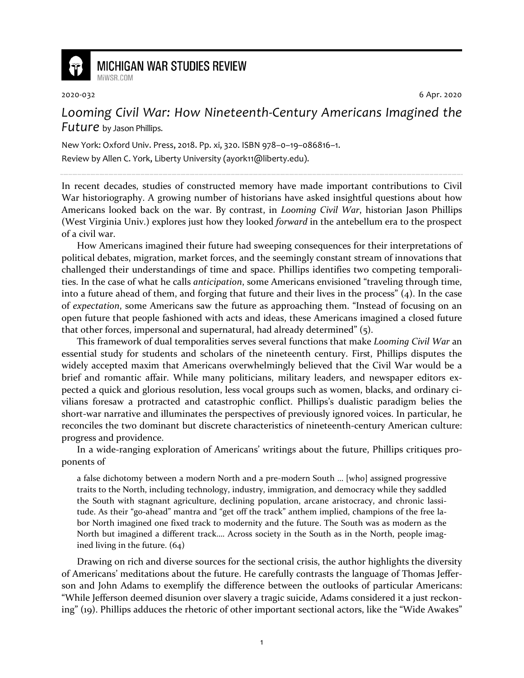

## **MICHIGAN WAR STUDIES REVIEW** MiWSR COM

2020-032 6 Apr. 2020

## *Looming Civil War: How Nineteenth-Century Americans Imagined the Future* by Jason Phillips.

New York: Oxford Univ. Press, 2018. Pp. xi, 320. ISBN 978–0–19–086816–1. Review by Allen C. York, Liberty University (ayork11@liberty.edu).

In recent decades, studies of constructed memory have made important contributions to Civil War historiography. A growing number of historians have asked insightful questions about how Americans looked back on the war. By contrast, in *Looming Civil War*, historian Jason Phillips (West Virginia Univ.) explores just how they looked *forward* in the antebellum era to the prospect of a civil war.

How Americans imagined their future had sweeping consequences for their interpretations of political debates, migration, market forces, and the seemingly constant stream of innovations that challenged their understandings of time and space. Phillips identifies two competing temporalities. In the case of what he calls *anticipation*, some Americans envisioned "traveling through time, into a future ahead of them, and forging that future and their lives in the process" (4). In the case of *expectation*, some Americans saw the future as approaching them. "Instead of focusing on an open future that people fashioned with acts and ideas, these Americans imagined a closed future that other forces, impersonal and supernatural, had already determined" (5).

This framework of dual temporalities serves several functions that make *Looming Civil War* an essential study for students and scholars of the nineteenth century. First, Phillips disputes the widely accepted maxim that Americans overwhelmingly believed that the Civil War would be a brief and romantic affair. While many politicians, military leaders, and newspaper editors expected a quick and glorious resolution, less vocal groups such as women, blacks, and ordinary civilians foresaw a protracted and catastrophic conflict. Phillips's dualistic paradigm belies the short-war narrative and illuminates the perspectives of previously ignored voices. In particular, he reconciles the two dominant but discrete characteristics of nineteenth-century American culture: progress and providence.

In a wide-ranging exploration of Americans' writings about the future, Phillips critiques proponents of

a false dichotomy between a modern North and a pre-modern South … [who] assigned progressive traits to the North, including technology, industry, immigration, and democracy while they saddled the South with stagnant agriculture, declining population, arcane aristocracy, and chronic lassitude. As their "go-ahead" mantra and "get off the track" anthem implied, champions of the free labor North imagined one fixed track to modernity and the future. The South was as modern as the North but imagined a different track…. Across society in the South as in the North, people imagined living in the future. (64)

Drawing on rich and diverse sources for the sectional crisis, the author highlights the diversity of Americans' meditations about the future. He carefully contrasts the language of Thomas Jefferson and John Adams to exemplify the difference between the outlooks of particular Americans: "While Jefferson deemed disunion over slavery a tragic suicide, Adams considered it a just reckoning" (19). Phillips adduces the rhetoric of other important sectional actors, like the "Wide Awakes"